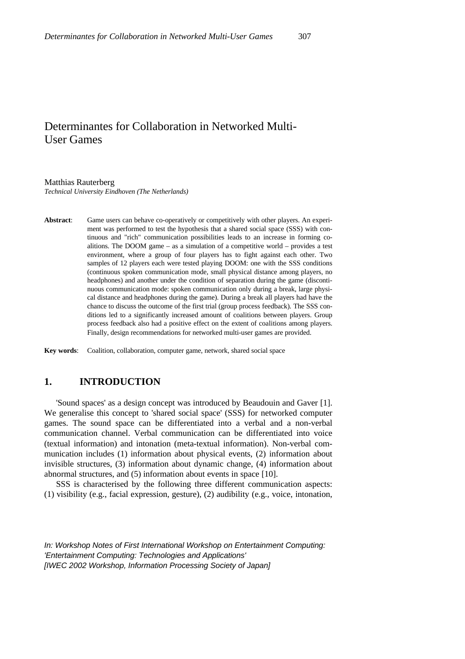# Determinantes for Collaboration in Networked Multi-User Games

#### Matthias Rauterberg

*Technical University Eindhoven (The Netherlands)*

**Abstract**: Game users can behave co-operatively or competitively with other players. An experiment was performed to test the hypothesis that a shared social space (SSS) with continuous and "rich" communication possibilities leads to an increase in forming coalitions. The DOOM game – as a simulation of a competitive world – provides a test environment, where a group of four players has to fight against each other. Two samples of 12 players each were tested playing DOOM: one with the SSS conditions (continuous spoken communication mode, small physical distance among players, no headphones) and another under the condition of separation during the game (discontinuous communication mode: spoken communication only during a break, large physical distance and headphones during the game). During a break all players had have the chance to discuss the outcome of the first trial (group process feedback). The SSS conditions led to a significantly increased amount of coalitions between players. Group process feedback also had a positive effect on the extent of coalitions among players. Finally, design recommendations for networked multi-user games are provided.

**Key words**: Coalition, collaboration, computer game, network, shared social space

## **1. INTRODUCTION**

'Sound spaces' as a design concept was introduced by Beaudouin and Gaver [1]. We generalise this concept to 'shared social space' (SSS) for networked computer games. The sound space can be differentiated into a verbal and a non-verbal communication channel. Verbal communication can be differentiated into voice (textual information) and intonation (meta-textual information). Non-verbal communication includes (1) information about physical events, (2) information about invisible structures, (3) information about dynamic change, (4) information about abnormal structures, and (5) information about events in space [10].

SSS is characterised by the following three different communication aspects: (1) visibility (e.g., facial expression, gesture), (2) audibility (e.g., voice, intonation,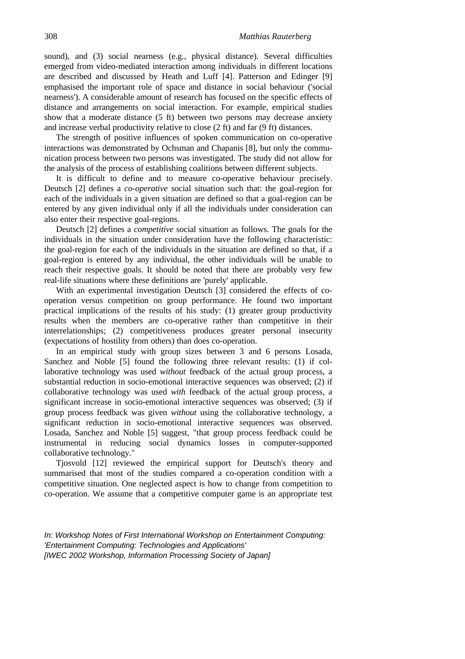sound), and (3) social nearness (e.g., physical distance). Several difficulties emerged from video-mediated interaction among individuals in different locations are described and discussed by Heath and Luff [4]. Patterson and Edinger [9] emphasised the important role of space and distance in social behaviour ('social nearness'). A considerable amount of research has focused on the specific effects of distance and arrangements on social interaction. For example, empirical studies show that a moderate distance (5 ft) between two persons may decrease anxiety and increase verbal productivity relative to close (2 ft) and far (9 ft) distances.

The strength of positive influences of spoken communication on co-operative interactions was demonstrated by Ochsman and Chapanis [8], but only the communication process between two persons was investigated. The study did not allow for the analysis of the process of establishing coalitions between different subjects.

It is difficult to define and to measure co-operative behaviour precisely. Deutsch [2] defines a *co-operative* social situation such that: the goal-region for each of the individuals in a given situation are defined so that a goal-region can be entered by any given individual only if all the individuals under consideration can also enter their respective goal-regions.

Deutsch [2] defines a *competitive* social situation as follows. The goals for the individuals in the situation under consideration have the following characteristic: the goal-region for each of the individuals in the situation are defined so that, if a goal-region is entered by any individual, the other individuals will be unable to reach their respective goals. It should be noted that there are probably very few real-life situations where these definitions are 'purely' applicable.

With an experimental investigation Deutsch [3] considered the effects of cooperation versus competition on group performance. He found two important practical implications of the results of his study: (1) greater group productivity results when the members are co-operative rather than competitive in their interrelationships; (2) competitiveness produces greater personal insecurity (expectations of hostility from others) than does co-operation.

In an empirical study with group sizes between 3 and 6 persons Losada, Sanchez and Noble [5] found the following three relevant results: (1) if collaborative technology was used *without* feedback of the actual group process, a substantial reduction in socio-emotional interactive sequences was observed; (2) if collaborative technology was used *with* feedback of the actual group process, a significant increase in socio-emotional interactive sequences was observed; (3) if group process feedback was given *without* using the collaborative technology, a significant reduction in socio-emotional interactive sequences was observed. Losada, Sanchez and Noble [5] suggest, "that group process feedback could be instrumental in reducing social dynamics losses in computer-supported collaborative technology."

Tjosvold [12] reviewed the empirical support for Deutsch's theory and summarised that most of the studies compared a co-operation condition with a competitive situation. One neglected aspect is how to change from competition to co-operation. We assume that a competitive computer game is an appropriate test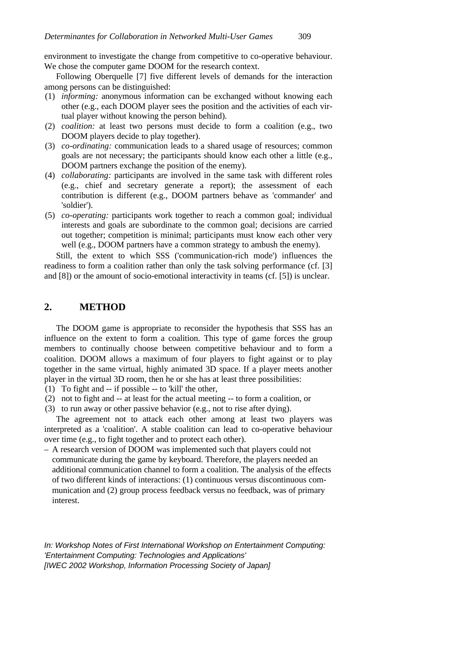environment to investigate the change from competitive to co-operative behaviour. We chose the computer game DOOM for the research context.

Following Oberquelle [7] five different levels of demands for the interaction among persons can be distinguished:

- (1) *informing:* anonymous information can be exchanged without knowing each other (e.g., each DOOM player sees the position and the activities of each virtual player without knowing the person behind).
- (2) *coalition:* at least two persons must decide to form a coalition (e.g., two DOOM players decide to play together).
- (3) *co-ordinating:* communication leads to a shared usage of resources; common goals are not necessary; the participants should know each other a little (e.g., DOOM partners exchange the position of the enemy).
- (4) *collaborating:* participants are involved in the same task with different roles (e.g., chief and secretary generate a report); the assessment of each contribution is different (e.g., DOOM partners behave as 'commander' and 'soldier').
- (5) *co-operating:* participants work together to reach a common goal; individual interests and goals are subordinate to the common goal; decisions are carried out together; competition is minimal; participants must know each other very well (e.g., DOOM partners have a common strategy to ambush the enemy).

Still, the extent to which SSS ('communication-rich mode') influences the readiness to form a coalition rather than only the task solving performance (cf. [3] and [8]) or the amount of socio-emotional interactivity in teams (cf. [5]) is unclear.

### **2. METHOD**

The DOOM game is appropriate to reconsider the hypothesis that SSS has an influence on the extent to form a coalition. This type of game forces the group members to continually choose between competitive behaviour and to form a coalition. DOOM allows a maximum of four players to fight against or to play together in the same virtual, highly animated 3D space. If a player meets another player in the virtual 3D room, then he or she has at least three possibilities:

- (1) To fight and -- if possible -- to 'kill' the other,
- (2) not to fight and -- at least for the actual meeting -- to form a coalition, or
- (3) to run away or other passive behavior (e.g., not to rise after dying).

The agreement not to attack each other among at least two players was interpreted as a 'coalition'. A stable coalition can lead to co-operative behaviour over time (e.g., to fight together and to protect each other).

– A research version of DOOM was implemented such that players could not communicate during the game by keyboard. Therefore, the players needed an additional communication channel to form a coalition. The analysis of the effects of two different kinds of interactions: (1) continuous versus discontinuous communication and (2) group process feedback versus no feedback, was of primary interest.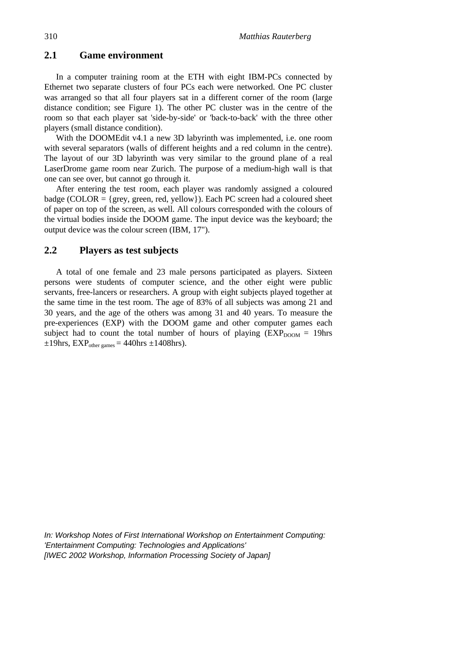#### **2.1 Game environment**

In a computer training room at the ETH with eight IBM-PCs connected by Ethernet two separate clusters of four PCs each were networked. One PC cluster was arranged so that all four players sat in a different corner of the room (large distance condition; see Figure 1). The other PC cluster was in the centre of the room so that each player sat 'side-by-side' or 'back-to-back' with the three other players (small distance condition).

With the DOOMEdit v4.1 a new 3D labyrinth was implemented, i.e. one room with several separators (walls of different heights and a red column in the centre). The layout of our 3D labyrinth was very similar to the ground plane of a real LaserDrome game room near Zurich. The purpose of a medium-high wall is that one can see over, but cannot go through it.

After entering the test room, each player was randomly assigned a coloured badge (COLOR =  $\{grey, green, red, yellow\}$ ). Each PC screen had a coloured sheet of paper on top of the screen, as well. All colours corresponded with the colours of the virtual bodies inside the DOOM game. The input device was the keyboard; the output device was the colour screen (IBM, 17").

#### **2.2 Players as test subjects**

A total of one female and 23 male persons participated as players. Sixteen persons were students of computer science, and the other eight were public servants, free-lancers or researchers. A group with eight subjects played together at the same time in the test room. The age of 83% of all subjects was among 21 and 30 years, and the age of the others was among 31 and 40 years. To measure the pre-experiences (EXP) with the DOOM game and other computer games each subject had to count the total number of hours of playing  $(EXP<sub>DOOM</sub> = 19)$ hrs  $\pm 19$ hrs, EXP<sub>other games</sub> = 440hrs  $\pm 1408$ hrs).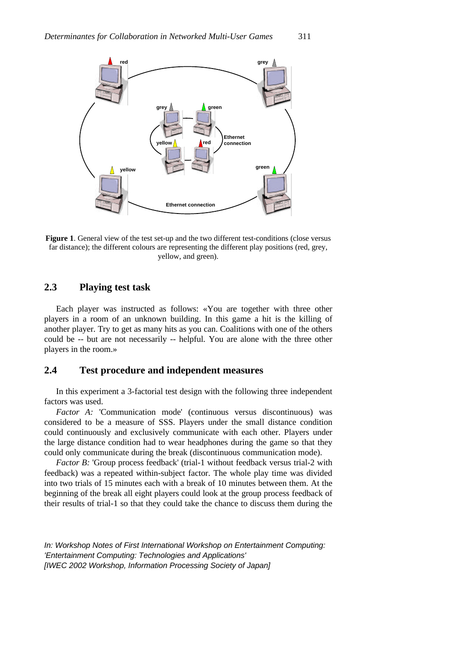

**Figure 1.** General view of the test set-up and the two different test-conditions (close versus far distance); the different colours are representing the different play positions (red, grey, yellow, and green).

## **2.3 Playing test task**

Each player was instructed as follows: «You are together with three other players in a room of an unknown building. In this game a hit is the killing of another player. Try to get as many hits as you can. Coalitions with one of the others could be -- but are not necessarily -- helpful. You are alone with the three other players in the room.»

#### **2.4 Test procedure and independent measures**

In this experiment a 3-factorial test design with the following three independent factors was used.

*Factor A:* 'Communication mode' (continuous versus discontinuous) was considered to be a measure of SSS. Players under the small distance condition could continuously and exclusively communicate with each other. Players under the large distance condition had to wear headphones during the game so that they could only communicate during the break (discontinuous communication mode).

*Factor B:* 'Group process feedback' (trial-1 without feedback versus trial-2 with feedback) was a repeated within-subject factor. The whole play time was divided into two trials of 15 minutes each with a break of 10 minutes between them. At the beginning of the break all eight players could look at the group process feedback of their results of trial-1 so that they could take the chance to discuss them during the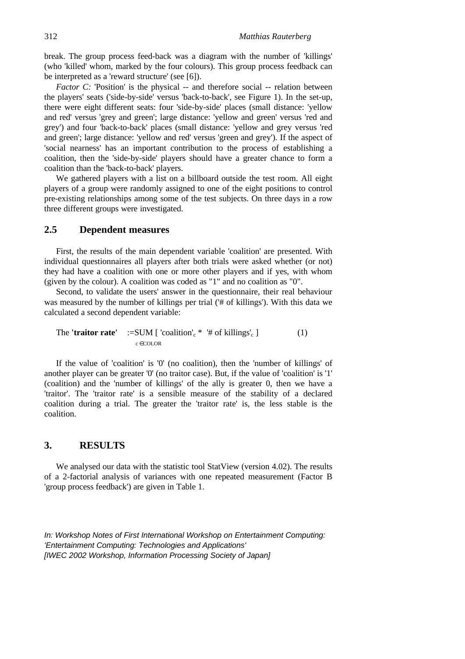break. The group process feed-back was a diagram with the number of 'killings' (who 'killed' whom, marked by the four colours). This group process feedback can be interpreted as a 'reward structure' (see [6]).

*Factor C:* 'Position' is the physical -- and therefore social -- relation between the players' seats ('side-by-side' versus 'back-to-back', see Figure 1). In the set-up, there were eight different seats: four 'side-by-side' places (small distance: 'yellow and red' versus 'grey and green'; large distance: 'yellow and green' versus 'red and grey') and four 'back-to-back' places (small distance: 'yellow and grey versus 'red and green'; large distance: 'yellow and red' versus 'green and grey'). If the aspect of 'social nearness' has an important contribution to the process of establishing a coalition, then the 'side-by-side' players should have a greater chance to form a coalition than the 'back-to-back' players.

We gathered players with a list on a billboard outside the test room. All eight players of a group were randomly assigned to one of the eight positions to control pre-existing relationships among some of the test subjects. On three days in a row three different groups were investigated.

#### **2.5 Dependent measures**

First, the results of the main dependent variable 'coalition' are presented. With individual questionnaires all players after both trials were asked whether (or not) they had have a coalition with one or more other players and if yes, with whom (given by the colour). A coalition was coded as "1" and no coalition as "0".

Second, to validate the users' answer in the questionnaire, their real behaviour was measured by the number of killings per trial ('# of killings'). With this data we calculated a second dependent variable:

The **'traitor rate'**  $:=\text{SUM}$  [ 'coalition'<sub>c</sub> \* '# of killings'<sub>c</sub> ] (1) c ∈COLOR

If the value of 'coalition' is '0' (no coalition), then the 'number of killings' of another player can be greater '0' (no traitor case). But, if the value of 'coalition' is '1' (coalition) and the 'number of killings' of the ally is greater 0, then we have a 'traitor'. The 'traitor rate' is a sensible measure of the stability of a declared coalition during a trial. The greater the 'traitor rate' is, the less stable is the coalition.

#### **3. RESULTS**

We analysed our data with the statistic tool StatView (version 4.02). The results of a 2-factorial analysis of variances with one repeated measurement (Factor B 'group process feedback') are given in Table 1.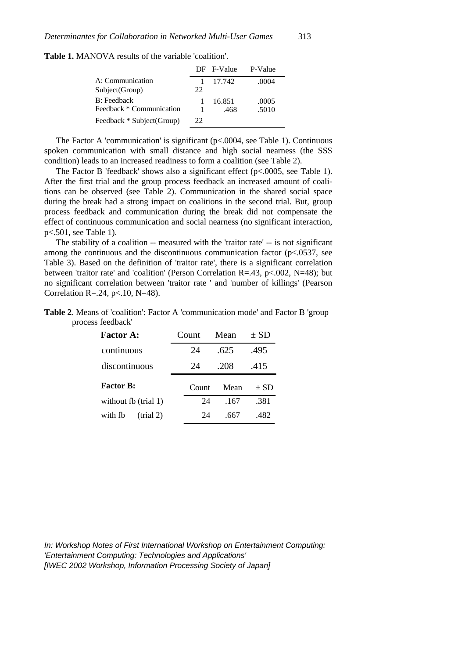**Table 1.** MANOVA results of the variable 'coalition'.

|                           |    | DF F-Value | P-Value |
|---------------------------|----|------------|---------|
| A: Communication          |    | 17.742     | .0004   |
| Subject(Group)            | 22 |            |         |
| B: Feedback               |    | 16.851     | .0005   |
| Feedback * Communication  |    | .468       | .5010   |
| Feedback * Subject(Group) | 22 |            |         |

The Factor A 'communication' is significant (p<.0004, see Table 1). Continuous spoken communication with small distance and high social nearness (the SSS condition) leads to an increased readiness to form a coalition (see Table 2).

The Factor B 'feedback' shows also a significant effect  $(p<.0005$ , see Table 1). After the first trial and the group process feedback an increased amount of coalitions can be observed (see Table 2). Communication in the shared social space during the break had a strong impact on coalitions in the second trial. But, group process feedback and communication during the break did not compensate the effect of continuous communication and social nearness (no significant interaction, p<.501, see Table 1).

The stability of a coalition -- measured with the 'traitor rate' -- is not significant among the continuous and the discontinuous communication factor  $(p<.0537,$  see Table 3). Based on the definition of 'traitor rate', there is a significant correlation between 'traitor rate' and 'coalition' (Person Correlation R=.43, p<.002, N=48); but no significant correlation between 'traitor rate ' and 'number of killings' (Pearson Correlation R=.24, p<.10, N=48).

| <b>Table 2.</b> Means of 'coalition': Factor A 'communication mode' and Factor B 'group |  |  |
|-----------------------------------------------------------------------------------------|--|--|
| process feedback'                                                                       |  |  |

| <b>Factor A:</b>     | Count | Mean | $\pm$ SD |
|----------------------|-------|------|----------|
| continuous           | 24    | .625 | .495     |
| discontinuous        | 24    | -208 | .415     |
|                      |       |      |          |
| <b>Factor B:</b>     | Count | Mean | $\pm$ SD |
| without fb (trial 1) | 24    | .167 | .381     |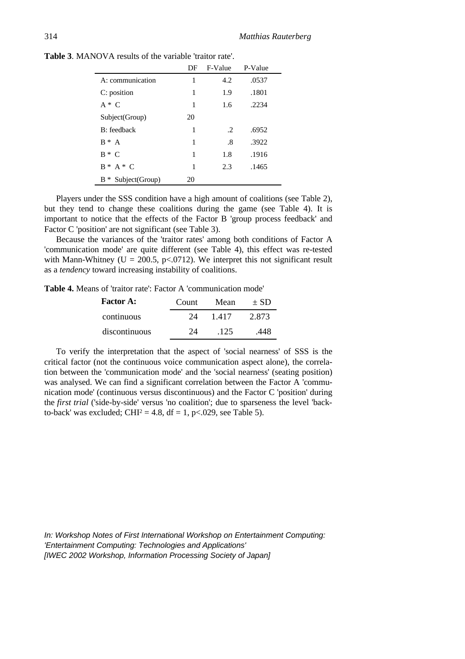|                               | DF | F-Value       | P-Value |
|-------------------------------|----|---------------|---------|
| A: communication              | 1  | 4.2           | .0537   |
| C: position                   | 1  | 1.9           | .1801   |
| $A * C$                       | 1  | 1.6           | .2234   |
| Subject(Group)                | 20 |               |         |
| B: feedback                   | 1  | $\mathcal{L}$ | .6952   |
| $B^* A$                       | 1  | .8            | .3922   |
| $B * C$                       | 1  | 1.8           | .1916   |
| $B^* A^* C$                   | 1  | 2.3           | .1465   |
| Subject(Group)<br>B<br>$\ast$ | 20 |               |         |

**Table 3**. MANOVA results of the variable 'traitor rate'.

Players under the SSS condition have a high amount of coalitions (see Table 2), but they tend to change these coalitions during the game (see Table 4). It is important to notice that the effects of the Factor B 'group process feedback' and Factor C 'position' are not significant (see Table 3).

Because the variances of the 'traitor rates' among both conditions of Factor A 'communication mode' are quite different (see Table 4), this effect was re-tested with Mann-Whitney (U = 200.5, p<.0712). We interpret this not significant result as a *tendency* toward increasing instability of coalitions.

**Table 4.** Means of 'traitor rate': Factor A 'communication mode'

| <b>Factor A:</b> | Count | Mean  | $+ SD$ |
|------------------|-------|-------|--------|
| continuous       | 24    | 1.417 | 2.873  |
| discontinuous    | 24    | .125  | .448   |

To verify the interpretation that the aspect of 'social nearness' of SSS is the critical factor (not the continuous voice communication aspect alone), the correlation between the 'communication mode' and the 'social nearness' (seating position) was analysed. We can find a significant correlation between the Factor A 'communication mode' (continuous versus discontinuous) and the Factor C 'position' during the *first trial* ('side-by-side' versus 'no coalition'; due to sparseness the level 'backto-back' was excluded;  $CHI<sup>2</sup> = 4.8$ , df = 1, p<.029, see Table 5).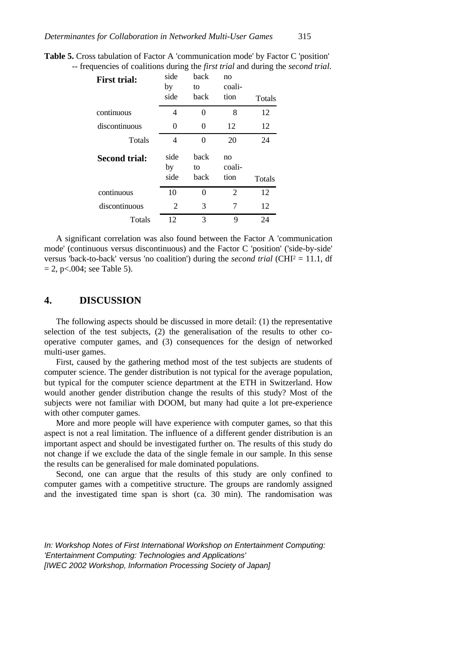| <b>Table 5.</b> Cross tabulation of Factor A 'communication mode' by Factor C 'position'        |  |  |  |
|-------------------------------------------------------------------------------------------------|--|--|--|
| -- frequencies of coalitions during the <i>first trial</i> and during the <i>second trial</i> . |  |  |  |

| <b>First trial:</b>  | side<br>by<br>side | back<br>to<br>back | no<br>coali-<br>tion | Totals |
|----------------------|--------------------|--------------------|----------------------|--------|
| continuous           | 4                  | 0                  | 8                    | 12     |
| discontinuous        | 0                  | 0                  | 12                   | 12     |
| <b>Totals</b>        | 4                  | 0                  | 20                   | 24     |
| <b>Second trial:</b> | side<br>by<br>side | back<br>to<br>back | no<br>coali-<br>tion | Totals |
| continuous           | 10                 | 0                  | $\overline{2}$       | 12     |
| discontinuous        | 2                  | 3                  | 7                    | 12     |
| <b>Totals</b>        | 12                 | 3                  | 9                    | 24     |

A significant correlation was also found between the Factor A 'communication mode' (continuous versus discontinuous) and the Factor C 'position' ('side-by-side' versus 'back-to-back' versus 'no coalition') during the *second trial* (CHI<sup>2</sup> = 11.1, df  $= 2$ , p<.004; see Table 5).

#### **4. DISCUSSION**

The following aspects should be discussed in more detail: (1) the representative selection of the test subjects, (2) the generalisation of the results to other cooperative computer games, and (3) consequences for the design of networked multi-user games.

First, caused by the gathering method most of the test subjects are students of computer science. The gender distribution is not typical for the average population, but typical for the computer science department at the ETH in Switzerland. How would another gender distribution change the results of this study? Most of the subjects were not familiar with DOOM, but many had quite a lot pre-experience with other computer games.

More and more people will have experience with computer games, so that this aspect is not a real limitation. The influence of a different gender distribution is an important aspect and should be investigated further on. The results of this study do not change if we exclude the data of the single female in our sample. In this sense the results can be generalised for male dominated populations.

Second, one can argue that the results of this study are only confined to computer games with a competitive structure. The groups are randomly assigned and the investigated time span is short (ca. 30 min). The randomisation was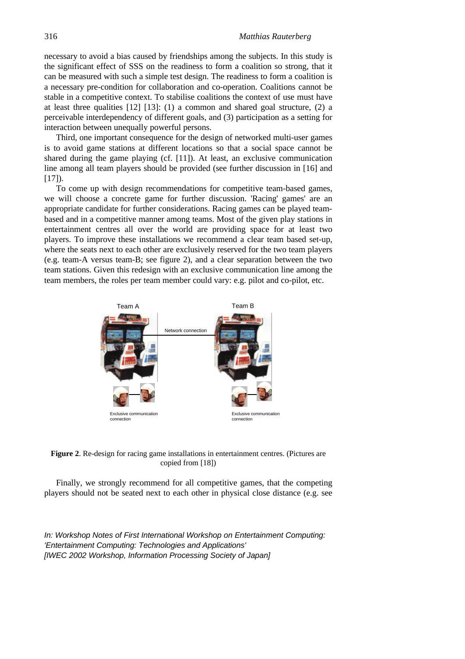necessary to avoid a bias caused by friendships among the subjects. In this study is the significant effect of SSS on the readiness to form a coalition so strong, that it can be measured with such a simple test design. The readiness to form a coalition is a necessary pre-condition for collaboration and co-operation. Coalitions cannot be stable in a competitive context. To stabilise coalitions the context of use must have at least three qualities [12] [13]: (1) a common and shared goal structure, (2) a perceivable interdependency of different goals, and (3) participation as a setting for interaction between unequally powerful persons.

Third, one important consequence for the design of networked multi-user games is to avoid game stations at different locations so that a social space cannot be shared during the game playing (cf. [11]). At least, an exclusive communication line among all team players should be provided (see further discussion in [16] and  $[17]$ ).

To come up with design recommendations for competitive team-based games, we will choose a concrete game for further discussion. 'Racing' games' are an appropriate candidate for further considerations. Racing games can be played teambased and in a competitive manner among teams. Most of the given play stations in entertainment centres all over the world are providing space for at least two players. To improve these installations we recommend a clear team based set-up, where the seats next to each other are exclusively reserved for the two team players (e.g. team-A versus team-B; see figure 2), and a clear separation between the two team stations. Given this redesign with an exclusive communication line among the team members, the roles per team member could vary: e.g. pilot and co-pilot, etc.



**Figure 2**. Re-design for racing game installations in entertainment centres. (Pictures are copied from [18])

Finally, we strongly recommend for all competitive games, that the competing players should not be seated next to each other in physical close distance (e.g. see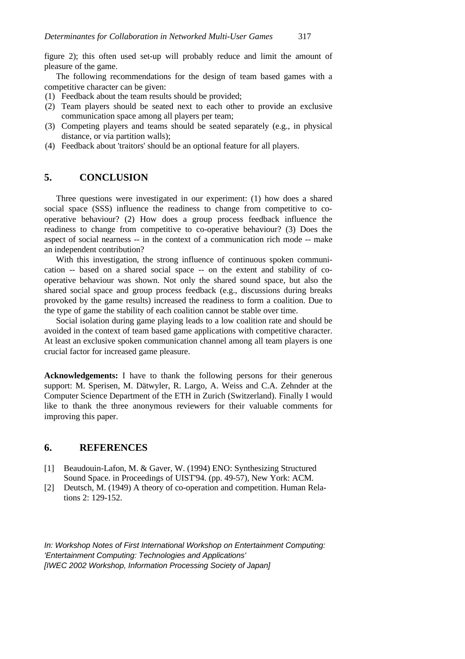figure 2); this often used set-up will probably reduce and limit the amount of pleasure of the game.

The following recommendations for the design of team based games with a competitive character can be given:

- (1) Feedback about the team results should be provided;
- (2) Team players should be seated next to each other to provide an exclusive communication space among all players per team;
- (3) Competing players and teams should be seated separately (e.g., in physical distance, or via partition walls);
- (4) Feedback about 'traitors' should be an optional feature for all players.

## **5. CONCLUSION**

Three questions were investigated in our experiment: (1) how does a shared social space (SSS) influence the readiness to change from competitive to cooperative behaviour? (2) How does a group process feedback influence the readiness to change from competitive to co-operative behaviour? (3) Does the aspect of social nearness -- in the context of a communication rich mode -- make an independent contribution?

With this investigation, the strong influence of continuous spoken communication -- based on a shared social space -- on the extent and stability of cooperative behaviour was shown. Not only the shared sound space, but also the shared social space and group process feedback (e.g., discussions during breaks provoked by the game results) increased the readiness to form a coalition. Due to the type of game the stability of each coalition cannot be stable over time.

Social isolation during game playing leads to a low coalition rate and should be avoided in the context of team based game applications with competitive character. At least an exclusive spoken communication channel among all team players is one crucial factor for increased game pleasure.

**Acknowledgements:** I have to thank the following persons for their generous support: M. Sperisen, M. Dätwyler, R. Largo, A. Weiss and C.A. Zehnder at the Computer Science Department of the ETH in Zurich (Switzerland). Finally I would like to thank the three anonymous reviewers for their valuable comments for improving this paper.

#### **6. REFERENCES**

- [1] Beaudouin-Lafon, M. & Gaver, W. (1994) ENO: Synthesizing Structured Sound Space. in Proceedings of UIST'94. (pp. 49-57), New York: ACM.
- [2] Deutsch, M. (1949) A theory of co-operation and competition. Human Relations 2: 129-152.